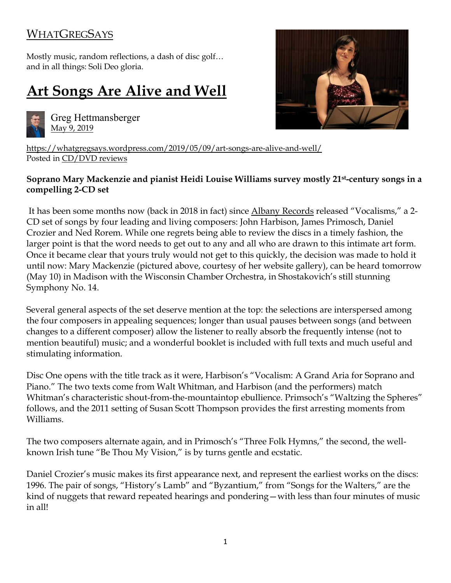## **[WHATGREGSAYS](https://whatgregsays.wordpress.com/)**

Mostly music, random reflections, a dash of disc golf… and in all things: Soli Deo gloria.

## **[Art Songs Are Alive and](https://whatgregsays.wordpress.com/2019/05/09/art-songs-are-alive-and-well/) Well**



Greg Hettmansberger [May 9, 2019](https://whatgregsays.wordpress.com/2019/05/09/art-songs-are-alive-and-well/)



https://whatgregsays.wordpress.com/2019/05/09/art-songs-are-alive-and-well/ Posted in [CD/DVD reviews](https://whatgregsays.wordpress.com/category/cd-dvd-reviews/)

## **Soprano Mary Mackenzie and pianist Heidi Louise Williams survey mostly 21st-century songs in a compelling 2-CD set**

It has been some months now (back in 2018 in fact) since [Albany Records](http://www.albanyrecords.com/) released "Vocalisms," a 2- CD set of songs by four leading and living composers: John Harbison, James Primosch, Daniel Crozier and Ned Rorem. While one regrets being able to review the discs in a timely fashion, the larger point is that the word needs to get out to any and all who are drawn to this intimate art form. Once it became clear that yours truly would not get to this quickly, the decision was made to hold it until now: Mary Mackenzie (pictured above, courtesy of her website gallery), can be heard tomorrow (May 10) in Madison with the Wisconsin Chamber Orchestra, in Shostakovich's still stunning Symphony No. 14.

Several general aspects of the set deserve mention at the top: the selections are interspersed among the four composers in appealing sequences; longer than usual pauses between songs (and between changes to a different composer) allow the listener to really absorb the frequently intense (not to mention beautiful) music; and a wonderful booklet is included with full texts and much useful and stimulating information.

Disc One opens with the title track as it were, Harbison's "Vocalism: A Grand Aria for Soprano and Piano." The two texts come from Walt Whitman, and Harbison (and the performers) match Whitman's characteristic shout-from-the-mountaintop ebullience. Primsoch's "Waltzing the Spheres" follows, and the 2011 setting of Susan Scott Thompson provides the first arresting moments from Williams.

The two composers alternate again, and in Primosch's "Three Folk Hymns," the second, the wellknown Irish tune "Be Thou My Vision," is by turns gentle and ecstatic.

Daniel Crozier's music makes its first appearance next, and represent the earliest works on the discs: 1996. The pair of songs, "History's Lamb" and "Byzantium," from "Songs for the Walters," are the kind of nuggets that reward repeated hearings and pondering—with less than four minutes of music in all!